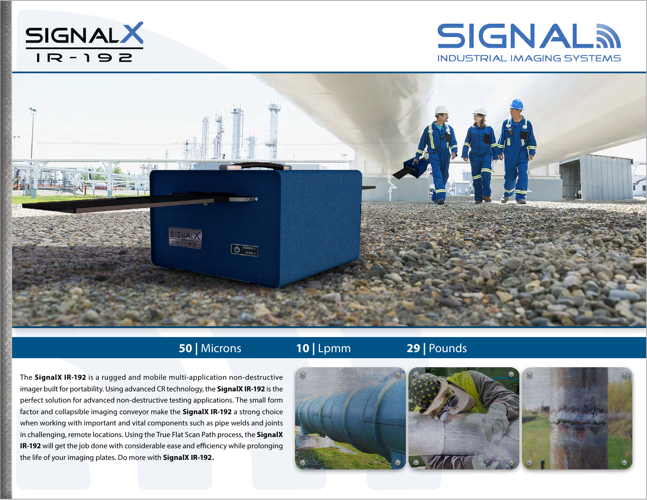





## **50 |** Microns **10 |** Lpmm **29 |** Pounds

The **SignalX IR-192** is a rugged and mobile multi-application non-destructive imager built for portability. Using advanced CR technology, the **SignalX IR-192** is the perfect solution for advanced non-destructive testing applications. The small form factor and collapsible imaging conveyor make the **SignalX IR-192** a strong choice when working with important and vital components such as pipe welds and joints in challenging, remote locations. Using the True Flat Scan Path process, the **SignalX IR-192** will get the job done with considerable ease and efficiency while prolonging the life of your imaging plates. Do more with **SignalX IR-192.**